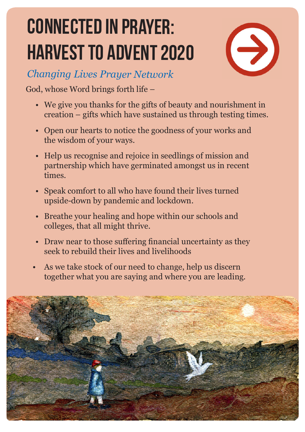## **CONNECTED IN PRAYER: HARVEST TO ADVENT 2020**



**Changing Lives Prayer Network** 

God, whose Word brings forth life -

- We give you thanks for the gifts of beauty and nourishment in creation – gifts which have sustained us through testing times.
- Open our hearts to notice the goodness of your works and the wisdom of your ways.
- Help us recognise and rejoice in seedlings of mission and partnership which have germinated amongst us in recent times.
- Speak comfort to all who have found their lives turned upside-down by pandemic and lockdown.
- Breathe your healing and hope within our schools and colleges, that all might thrive.
- Draw near to those suffering financial uncertainty as they seek to rebuild their lives and livelihoods
- As we take stock of our need to change, help us discern together what you are saying and where you are leading.